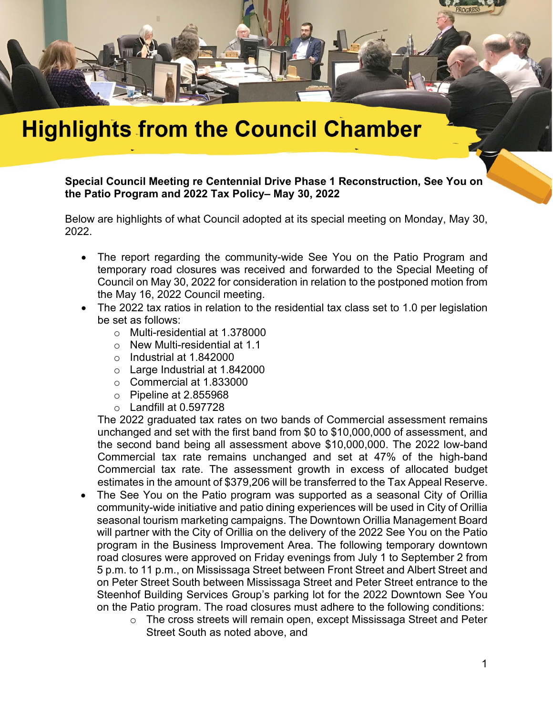

## **Highlights from the Council Chamber**

**Special Council Meeting re Centennial Drive Phase 1 Reconstruction, See You on the Patio Program and 2022 Tax Policy– May 30, 2022**

Below are highlights of what Council adopted at its special meeting on Monday, May 30, 2022.

- The report regarding the community-wide See You on the Patio Program and temporary road closures was received and forwarded to the Special Meeting of Council on May 30, 2022 for consideration in relation to the postponed motion from the May 16, 2022 Council meeting.
- The 2022 tax ratios in relation to the residential tax class set to 1.0 per legislation be set as follows:
	- o Multi-residential at 1.378000
	- o New Multi-residential at 1.1
	- o Industrial at 1.842000
	- o Large Industrial at 1.842000
	- o Commercial at 1.833000
	- $\circ$  Pipeline at 2.855968
	- $\circ$  Landfill at 0.597728

The 2022 graduated tax rates on two bands of Commercial assessment remains unchanged and set with the first band from \$0 to \$10,000,000 of assessment, and the second band being all assessment above \$10,000,000. The 2022 low-band Commercial tax rate remains unchanged and set at 47% of the high-band Commercial tax rate. The assessment growth in excess of allocated budget estimates in the amount of \$379,206 will be transferred to the Tax Appeal Reserve.

- The See You on the Patio program was supported as a seasonal City of Orillia community-wide initiative and patio dining experiences will be used in City of Orillia seasonal tourism marketing campaigns. The Downtown Orillia Management Board will partner with the City of Orillia on the delivery of the 2022 See You on the Patio program in the Business Improvement Area. The following temporary downtown road closures were approved on Friday evenings from July 1 to September 2 from 5 p.m. to 11 p.m., on Mississaga Street between Front Street and Albert Street and on Peter Street South between Mississaga Street and Peter Street entrance to the Steenhof Building Services Group's parking lot for the 2022 Downtown See You on the Patio program. The road closures must adhere to the following conditions:
	- o The cross streets will remain open, except Mississaga Street and Peter Street South as noted above, and